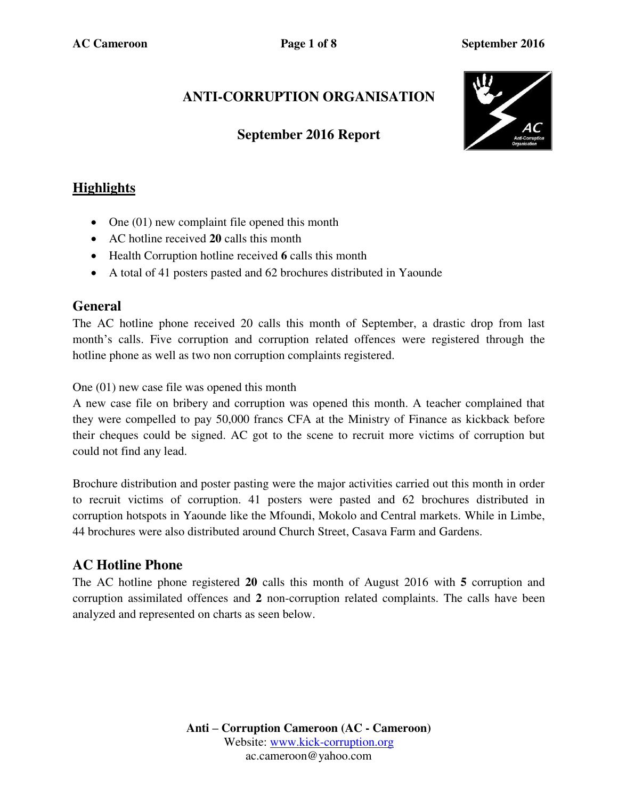# **ANTI-CORRUPTION ORGANISATION**

### **September 2016 Report**



## **Highlights**

- One  $(01)$  new complaint file opened this month
- AC hotline received **20** calls this month
- Health Corruption hotline received **6** calls this month
- A total of 41 posters pasted and 62 brochures distributed in Yaounde

### **General**

The AC hotline phone received 20 calls this month of September, a drastic drop from last month's calls. Five corruption and corruption related offences were registered through the hotline phone as well as two non corruption complaints registered.

One (01) new case file was opened this month

A new case file on bribery and corruption was opened this month. A teacher complained that they were compelled to pay 50,000 francs CFA at the Ministry of Finance as kickback before their cheques could be signed. AC got to the scene to recruit more victims of corruption but could not find any lead.

Brochure distribution and poster pasting were the major activities carried out this month in order to recruit victims of corruption. 41 posters were pasted and 62 brochures distributed in corruption hotspots in Yaounde like the Mfoundi, Mokolo and Central markets. While in Limbe, 44 brochures were also distributed around Church Street, Casava Farm and Gardens.

### **AC Hotline Phone**

The AC hotline phone registered **20** calls this month of August 2016 with **5** corruption and corruption assimilated offences and **2** non-corruption related complaints. The calls have been analyzed and represented on charts as seen below.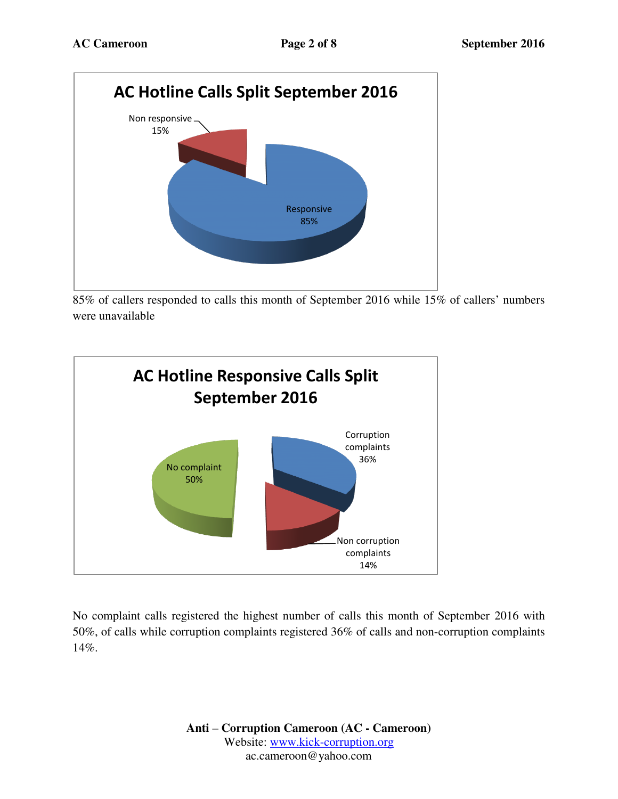

85% of callers responded to calls this month of September 2016 while 15% of callers' numbers were unavailable



No complaint calls registered the highest number of calls this month of September 2016 with 50%, of calls while corruption complaints registered 36% of calls and non-corruption complaints 14%.

> **Anti – Corruption Cameroon (AC - Cameroon)** Website: [www.kick-corruption.org](http://www.kick-corruption.org/) ac.cameroon@yahoo.com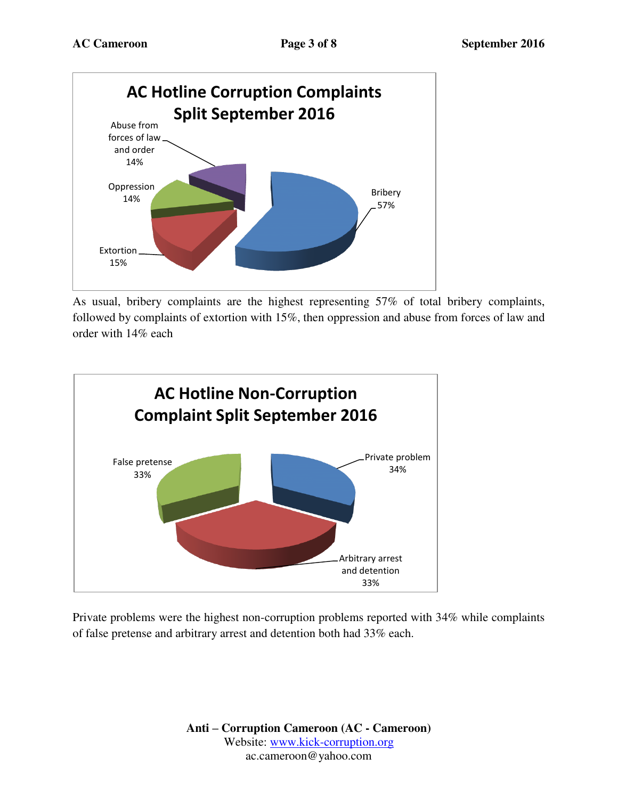

As usual, bribery complaints are the highest representing 57% of total bribery complaints, followed by complaints of extortion with 15%, then oppression and abuse from forces of law and order with 14% each



Private problems were the highest non-corruption problems reported with 34% while complaints of false pretense and arbitrary arrest and detention both had 33% each.

> **Anti – Corruption Cameroon (AC - Cameroon)** Website: [www.kick-corruption.org](http://www.kick-corruption.org/) ac.cameroon@yahoo.com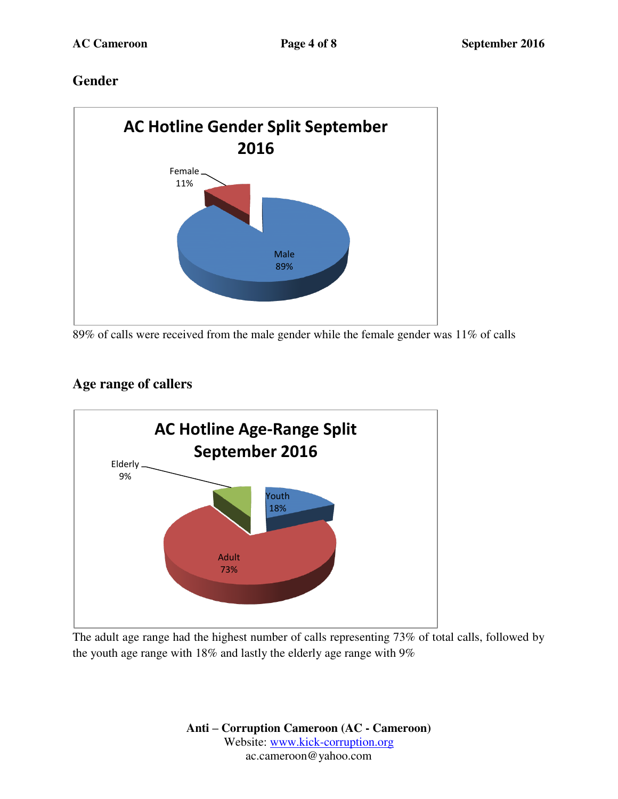### **Gender**



89% of calls were received from the male gender while the female gender was 11% of calls

## **Age range of callers**



The adult age range had the highest number of calls representing 73% of total calls, followed by the youth age range with 18% and lastly the elderly age range with 9%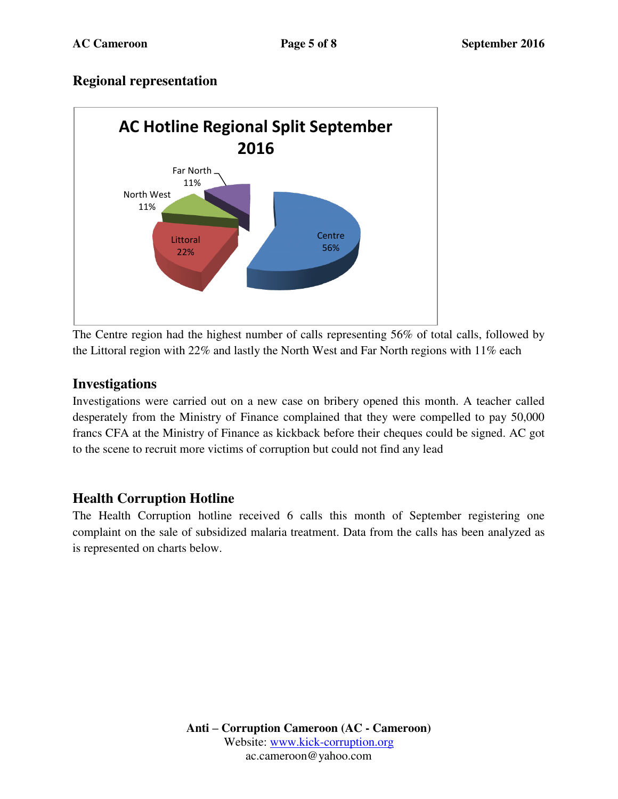### **Regional representation**



The Centre region had the highest number of calls representing 56% of total calls, followed by the Littoral region with 22% and lastly the North West and Far North regions with 11% each

#### **Investigations**

Investigations were carried out on a new case on bribery opened this month. A teacher called desperately from the Ministry of Finance complained that they were compelled to pay 50,000 francs CFA at the Ministry of Finance as kickback before their cheques could be signed. AC got to the scene to recruit more victims of corruption but could not find any lead

### **Health Corruption Hotline**

The Health Corruption hotline received 6 calls this month of September registering one complaint on the sale of subsidized malaria treatment. Data from the calls has been analyzed as is represented on charts below.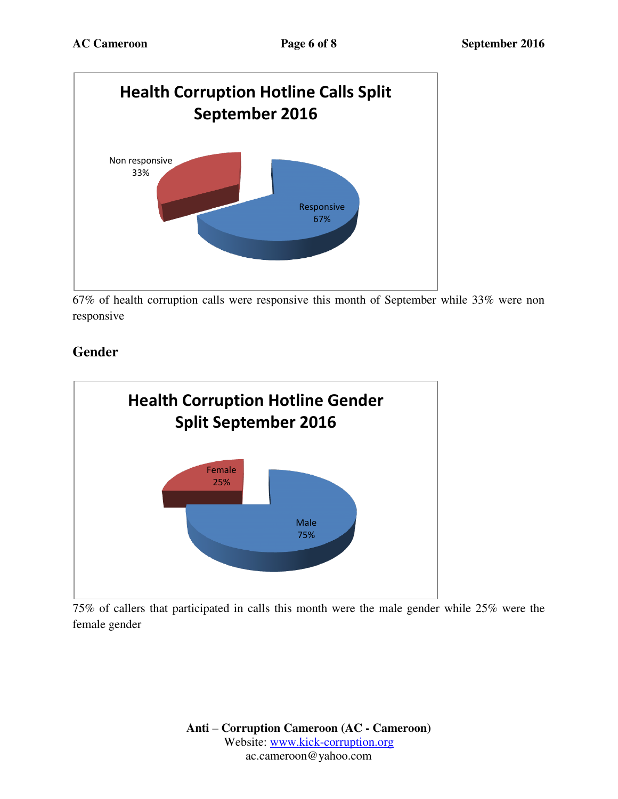

67% of health corruption calls were responsive this month of September while 33% were non responsive

# **Gender**



75% of callers that participated in calls this month were the male gender while 25% were the female gender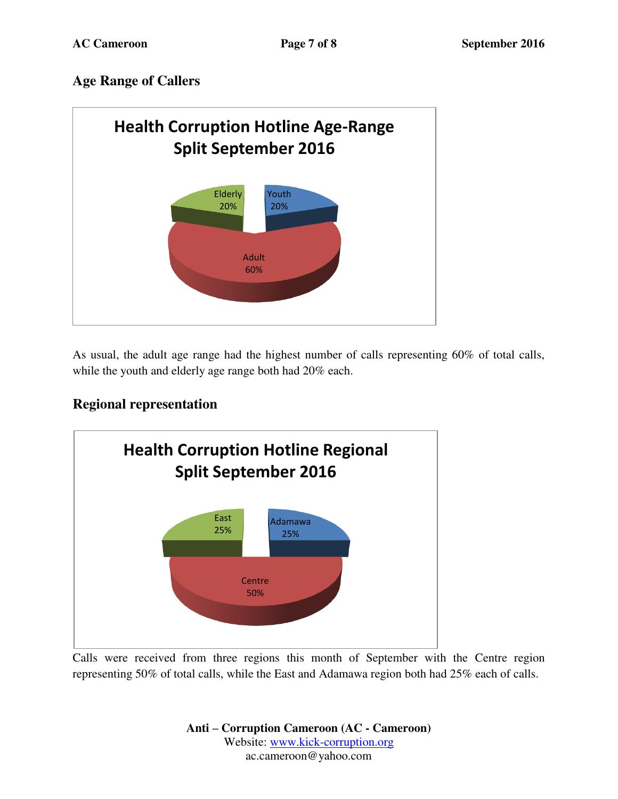## **Age Range of Callers**



As usual, the adult age range had the highest number of calls representing 60% of total calls, while the youth and elderly age range both had 20% each.

### **Regional representation**



Calls were received from three regions this month of September with the Centre region representing 50% of total calls, while the East and Adamawa region both had 25% each of calls.

> **Anti – Corruption Cameroon (AC - Cameroon)** Website: [www.kick-corruption.org](http://www.kick-corruption.org/) ac.cameroon@yahoo.com